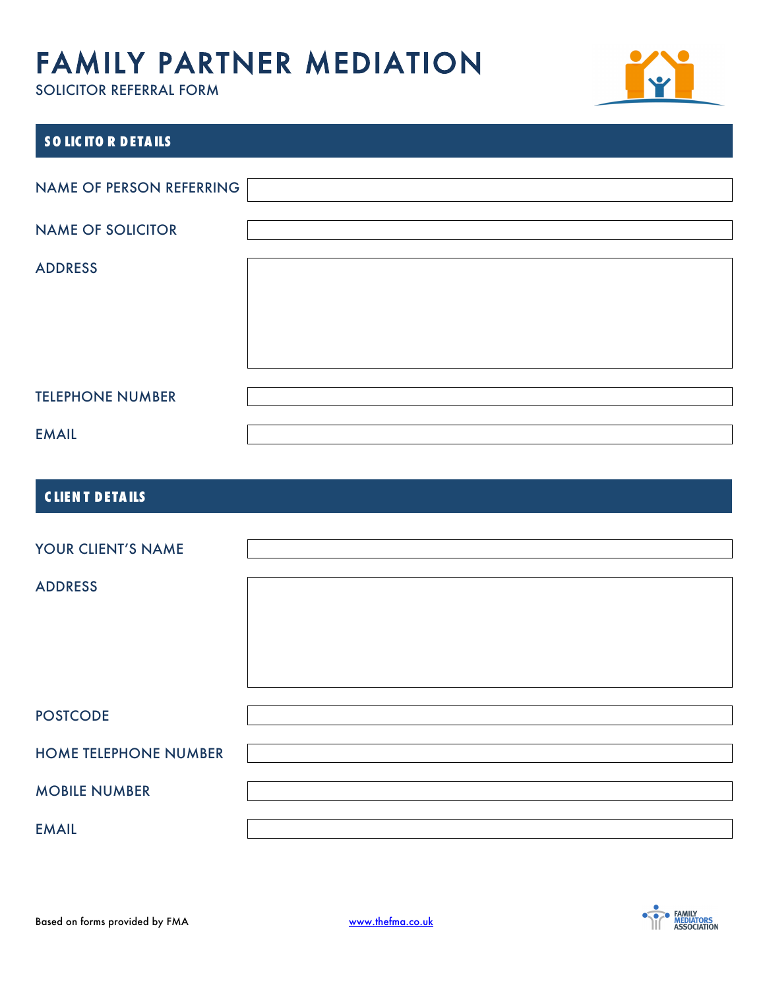

| SO LICITOR DETAILS           |  |
|------------------------------|--|
|                              |  |
| NAME OF PERSON REFERRING     |  |
| <b>NAME OF SOLICITOR</b>     |  |
|                              |  |
| <b>ADDRESS</b>               |  |
|                              |  |
|                              |  |
|                              |  |
|                              |  |
| <b>TELEPHONE NUMBER</b>      |  |
| <b>EMAIL</b>                 |  |
|                              |  |
| <b>CLIENT DETAILS</b>        |  |
|                              |  |
| YOUR CLIENT'S NAME           |  |
|                              |  |
| <b>ADDRESS</b>               |  |
|                              |  |
|                              |  |
|                              |  |
|                              |  |
| <b>POSTCODE</b>              |  |
| <b>HOME TELEPHONE NUMBER</b> |  |

### MOBILE NUMBER

EMAIL

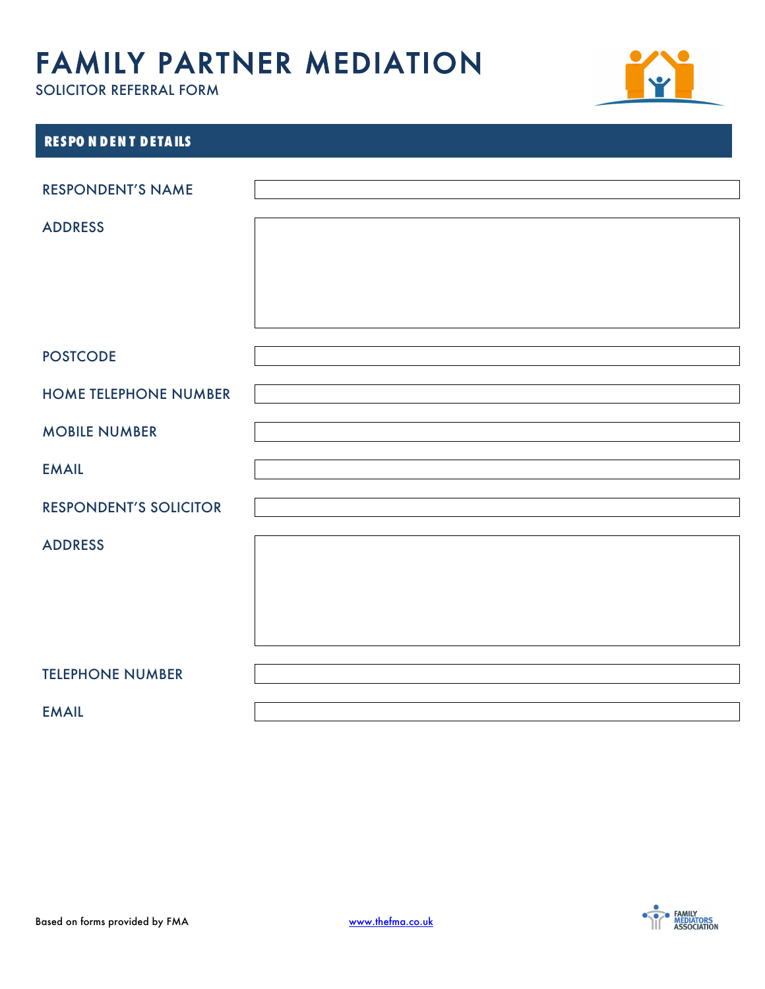

| <b>RESPONDENT DETAILS</b>     |  |
|-------------------------------|--|
|                               |  |
| <b>RESPONDENT'S NAME</b>      |  |
| <b>ADDRESS</b>                |  |
|                               |  |
|                               |  |
|                               |  |
|                               |  |
|                               |  |
| <b>POSTCODE</b>               |  |
| <b>HOME TELEPHONE NUMBER</b>  |  |
|                               |  |
| <b>MOBILE NUMBER</b>          |  |
| <b>EMAIL</b>                  |  |
|                               |  |
| <b>RESPONDENT'S SOLICITOR</b> |  |
| <b>ADDRESS</b>                |  |
|                               |  |
|                               |  |
|                               |  |
|                               |  |
| <b>TELEPHONE NUMBER</b>       |  |
|                               |  |
| <b>EMAIL</b>                  |  |

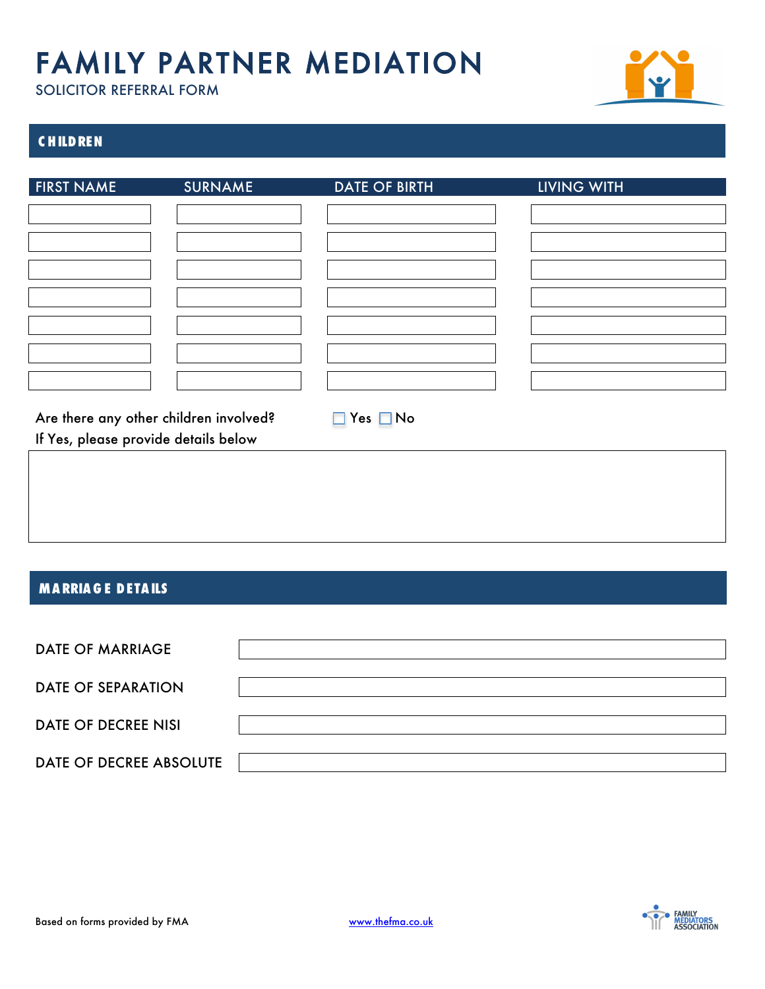

### **C HILDREN**

| <b>FIRST NAME</b>                      | <b>SURNAME</b> | <b>DATE OF BIRTH</b>       | <b>LIVING WITH</b> |
|----------------------------------------|----------------|----------------------------|--------------------|
|                                        |                |                            |                    |
|                                        |                |                            |                    |
|                                        |                |                            |                    |
|                                        |                |                            |                    |
|                                        |                |                            |                    |
|                                        |                |                            |                    |
|                                        |                |                            |                    |
|                                        |                |                            |                    |
|                                        |                |                            |                    |
|                                        |                |                            |                    |
|                                        |                |                            |                    |
| Are there any other children involved? |                | $Yes \blacksquare No$<br>п |                    |
| If Yes, please provide details below   |                |                            |                    |
|                                        |                |                            |                    |

#### **MA RRIA G E DETA ILS**

| <b>DATE OF MARRIAGE</b>    |  |
|----------------------------|--|
| <b>DATE OF SEPARATION</b>  |  |
| <b>DATE OF DECREE NISI</b> |  |
| DATE OF DECREE ABSOLUTE    |  |